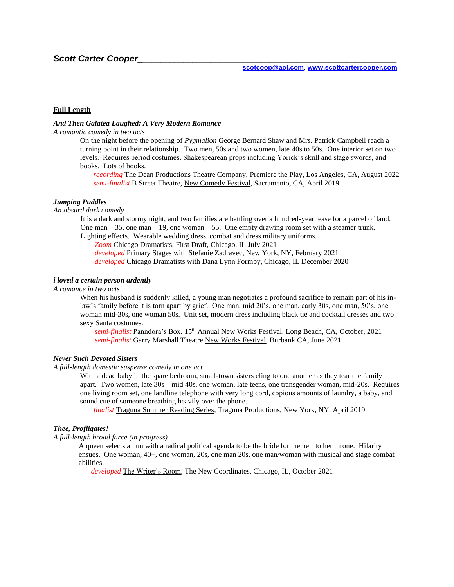# **Full Length**

### *And Then Galatea Laughed: A Very Modern Romance*

## *A romantic comedy in two acts*

On the night before the opening of *Pygmalion* George Bernard Shaw and Mrs. Patrick Campbell reach a turning point in their relationship. Two men, 50s and two women, late 40s to 50s. One interior set on two levels. Requires period costumes, Shakespearean props including Yorick's skull and stage swords, and books. Lots of books.

*recording* The Dean Productions Theatre Company, Premiere the Play, Los Angeles, CA, August 2022 *semi-finalist* B Street Theatre, New Comedy Festival, Sacramento, CA, April 2019

#### *Jumping Puddles*

*An absurd dark comedy* 

It is a dark and stormy night, and two families are battling over a hundred-year lease for a parcel of land. One man – 35, one man – 19, one woman – 55. One empty drawing room set with a steamer trunk. Lighting effects. Wearable wedding dress, combat and dress military uniforms.

*Zoom* Chicago Dramatists, First Draft, Chicago, IL July 2021

 *developed* Primary Stages with [Stefanie Zadravec,](https://primarystages.org/espa/instructors/stefanie-zadravec) New York, NY, February 2021 *developed* Chicago Dramatists with Dana Lynn Formby, Chicago, IL December 2020

## *i loved a certain person ardently*

## *A romance in two acts*

When his husband is suddenly killed, a young man negotiates a profound sacrifice to remain part of his inlaw's family before it is torn apart by grief. One man, mid 20's, one man, early 30s, one man, 50's, one woman mid-30s, one woman 50s. Unit set, modern dress including black tie and cocktail dresses and two sexy Santa costumes.

 *semi-finalist* Panndora's Box, 15th Annual New Works Festival, Long Beach, CA, October, 2021  *semi-finalist* Garry Marshall Theatre New Works Festival, Burbank CA, June 2021

### *Never Such Devoted Sisters*

## *A full-length domestic suspense comedy in one act*

With a dead baby in the spare bedroom, small-town sisters cling to one another as they tear the family apart. Two women, late 30s – mid 40s, one woman, late teens, one transgender woman, mid-20s. Requires one living room set, one landline telephone with very long cord, copious amounts of laundry, a baby, and sound cue of someone breathing heavily over the phone.

 *finalist* Traguna Summer Reading Series, Traguna Productions, New York, NY, April 2019

### *Thee, Profligates!*

#### *A full-length broad farce (in progress)*

 A queen selects a nun with a radical political agenda to be the bride for the heir to her throne. Hilarity ensues. One woman, 40+, one woman, 20s, one man 20s, one man/woman with musical and stage combat abilities.

*developed* The Writer's Room, The New Coordinates, Chicago, IL, October 2021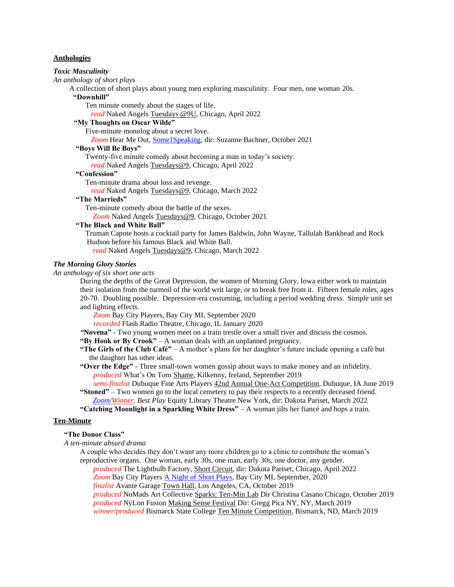### **Anthologies**

### *Toxic Masculinity*

*An anthology of short plays*

A collection of short plays about young men exploring masculinity. Four men, one woman 20s. **"Downhill"**

Ten minute comedy about the stages of life.

*read* Naked Angels Tuesdays @9U, Chicago, April 2022

# **"My Thoughts on Oscar Wilde"**

Five-minute monolog about a secret love.

*Zoom* Hear Me Out[, Some1Speaking,](https://www.youtube.com/watch?v=cXj66adnggM&list=PL8CCKf3qVLPCuqdSfC8bpnWA5i2mI2cxL&index=5) dir: Suzanne Bachner, October 2021

### **"Boys Will Be Boys"**

Twenty-five minute comedy about becoming a man in today's society.

*read* Naked Angels Tuesdays@9, Chicago, April 2022

### **"Confession"**

Ten-minute drama about loss and revenge.

*read* Naked Angels Tuesdays@9, Chicago, March 2022

# **"The Marrieds"**

Ten-minute comedy about the battle of the sexes.

*Zoom* Naked Angels Tuesdays@9, Chicago, October 2021

## **"The Black and White Ball"**

Truman Capote hosts a cocktail party for James Baldwin, John Wayne, Tallulah Bankhead and Rock Hudson before his famous Black and White Ball.

*read* Naked Angels Tuesdays@9, Chicago, March 2022

## *The Morning Glory Stories*

### *An anthology of six short one acts*

During the depths of the Great Depression, the women of Morning Glory, Iowa either work to maintain their isolation from the turmoil of the world writ large, or to break free from it. Fifteen female roles, ages 20-70. Doubling possible. Depression-era costuming, including a period wedding dress. Simple unit set and lighting effects.

*Zoom* Bay City Players, Bay City MI, September 2020

*recorded* Flash Radio Theatre, Chicago, IL January 2020

*"***Novena"** *-* Two young women meet on a train trestle over a small river and discuss the cosmos.

**"By Hook or By Crook"** – A woman deals with an unplanned pregnancy.

### **"The Girls of the Club Café"** – A mother's plans for her daughter's future include opening a café but the daughter has other ideas.

**"Over the Edge"** - Three small-town women gossip about ways to make money and an infidelity. *produced* What's On Tom Shame, Kilkenny, Ireland, September 2019

*semi-finalist* Dubuque Fine Arts Players 42nd Annual One-Act Competition, Dubuque, IA June 2019 **"Stoned"** – Two women go to the local cemetery to pay their respects to a recently deceased friend. *[Zoom/](https://www.youtube.com/watch?v=kwwpGFCWcG0&t=26s)Winner, Best Play* Equity Library Theatre New York, dir: Dakota Pariset, March 2022

**"Catching Moonlight in a Sparkling White Dress"** – A woman jilts her fiancé and hops a train.

#### **Ten-Minute**

#### **"The Donor Class"**

*A ten-minute absurd drama*

A couple who decides they don't want any more children go to a clinic to contribute the woman's reproductive organs. One woman, early 30s, one man, early 30s, one doctor, any gender. *produced* The Lightbulb Factory, Short Circuit, dir: Dakota Pariset, Chicago, April 2022

*Zoom* Bay City Players [A Night of Short Plays,](https://www.facebook.com/BayCityPlayers/videos/605733090109064) Bay City MI, September, 2020

*finalist* Avante Garage Town Hall, Los Angeles, CA, October 2019

*produced* NoMads Art Collective Sparks: Ten-Min Lab Dir Christina Casano Chicago, October 2019 *produced* NyLon Fusion Making Sense Festival Dir: Gregg Pica NY, NY, March 2019

*winner/produced* Bismarck State College Ten Minute Competition, Bismarck, ND, March 2019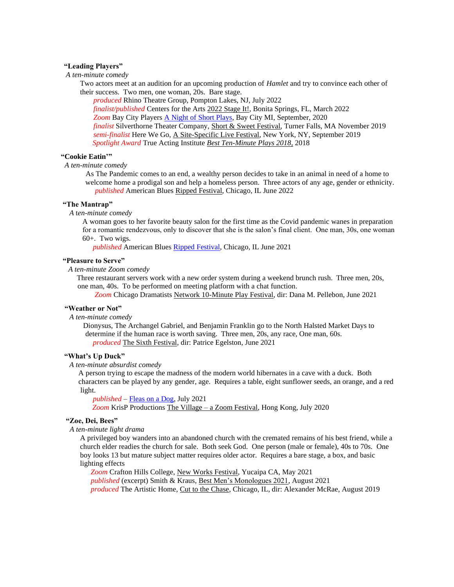## **"Leading Players"**

*A ten-minute comedy*

Two actors meet at an audition for an upcoming production of *Hamlet* and try to convince each other of their success. Two men, one woman, 20s. Bare stage.

*produced* Rhino Theatre Group, Pompton Lakes, NJ, July 2022 *finalist/published* Centers for the Arts 2022 Stage It!, Bonita Springs, FL, March 2022 *Zoom* Bay City Players [A Night of Short Plays,](https://www.facebook.com/BayCityPlayers/videos/605733090109064) Bay City MI, September, 2020 *finalist* Silverthorne Theater Company, Short & Sweet Festival, Turner Falls, MA November 2019 *semi-finalist* Here We Go, A Site-Specific Live Festival, New York, NY, September 2019 *Spotlight Award* True Acting Institute *Best Ten-Minute Plays 2018,* 2018

### **"Cookie Eatin'"**

### *A ten-minute comedy*

As The Pandemic comes to an end, a wealthy person decides to take in an animal in need of a home to welcome home a prodigal son and help a homeless person. Three actors of any age, gender or ethnicity. *published* American Blues Ripped Festival, Chicago, IL June 2022

### **"The Mantrap"**

*A* t*en-minute comedy*

A woman goes to her favorite beauty salon for the first time as the Covid pandemic wanes in preparation for a romantic rendezvous, only to discover that she is the salon's final client. One man, 30s, one woman 60+. Two wigs.

*published* American Blues [Ripped Festival,](https://americanbluestheater.com/2021/06/01/2021-the-ripped-festival/) Chicago, IL June 2021

## **"Pleasure to Serve"**

*A ten-minute Zoom comedy*

Three restaurant servers work with a new order system during a weekend brunch rush. Three men, 20s, one man, 40s. To be performed on meeting platform with a chat function.

*Zoom* Chicago Dramatists Network 10-Minute Play Festival, dir: Dana M. Pellebon, June 2021

## **"Weather or Not"**

*A ten-minute comedy*

 Dionysus, The Archangel Gabriel, and Benjamin Franklin go to the North Halsted Market Days to determine if the human race is worth saving. Three men, 20s, any race, One man, 60s.  *produced* The Sixth Festival, dir: Patrice Egelston, June 2021

#### **"What's Up Duck"**

*A ten-minute absurdist comedy*

 A person trying to escape the madness of the modern world hibernates in a cave with a duck. Both characters can be played by any gender, age. Requires a table, eight sunflower seeds, an orange, and a red light.

 *published –* [Fleas on a Dog,](https://fleasonthedog.com/) July 2021  *Zoom* KrisP Productions The Village – a Zoom Festival, Hong Kong, July 2020

### **"Zoe, Dei, Bees"**

 *A ten-minute light drama*

A privileged boy wanders into an abandoned church with the cremated remains of his best friend, while a church elder readies the church for sale. Both seek God. One person (male or female), 40s to 70s. One boy looks 13 but mature subject matter requires older actor. Requires a bare stage, a box, and basic lighting effects

*Zoom* Crafton Hills College, New Works Festival, Yucaipa CA, May 2021 *published* (excerpt) Smith & Kraus, Best Men's Monologues 2021, August 2021 *produced* The Artistic Home, Cut to the Chase, Chicago, IL, dir: Alexander McRae, August 2019